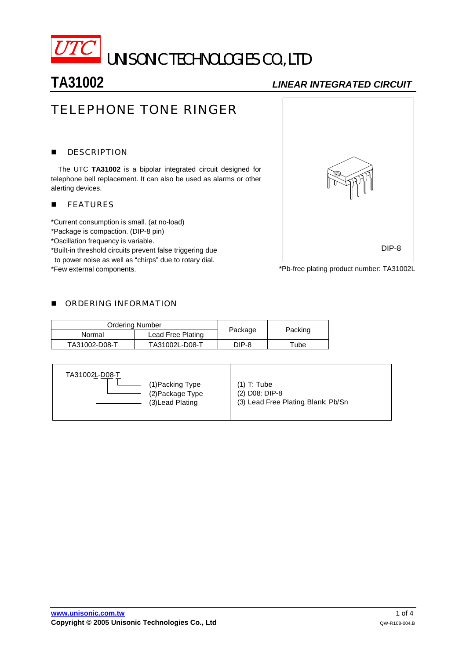

# **TA31002** *LINEAR INTEGRATED CIRCUIT*

# TELEPHONE TONE RINGER

### **DESCRIPTION**

 The UTC **TA31002** is a bipolar integrated circuit designed for telephone bell replacement. It can also be used as alarms or other alerting devices.

### **FEATURES**

\*Current consumption is small. (at no-load)

\*Package is compaction. (DIP-8 pin)

\*Oscillation frequency is variable.

\*Built-in threshold circuits prevent false triggering due to power noise as well as "chirps" due to rotary dial.

\*Few external components.



\*Pb-free plating product number: TA31002L

### **DE ORDERING INFORMATION**

| <b>Ordering Number</b> |                   |         |         |  |
|------------------------|-------------------|---------|---------|--|
| Normal                 | Lead Free Plating | Package | Packing |  |
| TA31002-D08-T          | TA31002L-D08-T    | DIP-8   | Tube    |  |

| TA31002L-D08-T<br>(1) Packing Type<br>(2) Package Type<br>(3) Lead Plating | $(1)$ T: Tube<br>(2) D08: DIP-8<br>(3) Lead Free Plating Blank: Pb/Sn |
|----------------------------------------------------------------------------|-----------------------------------------------------------------------|
|----------------------------------------------------------------------------|-----------------------------------------------------------------------|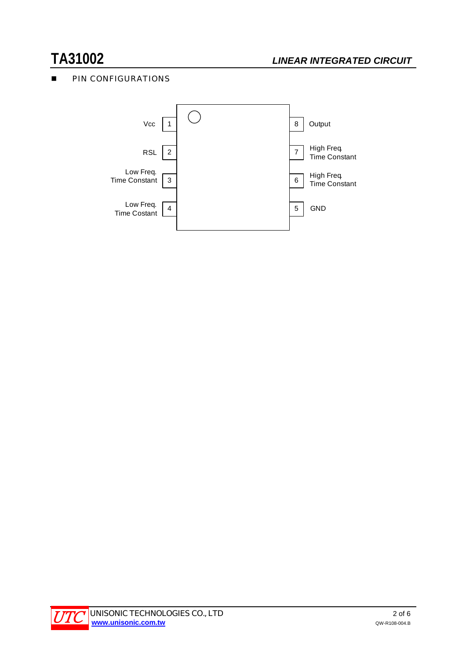# **TA31002** *LINEAR INTEGRATED CIRCUIT*

## **PIN CONFIGURATIONS**



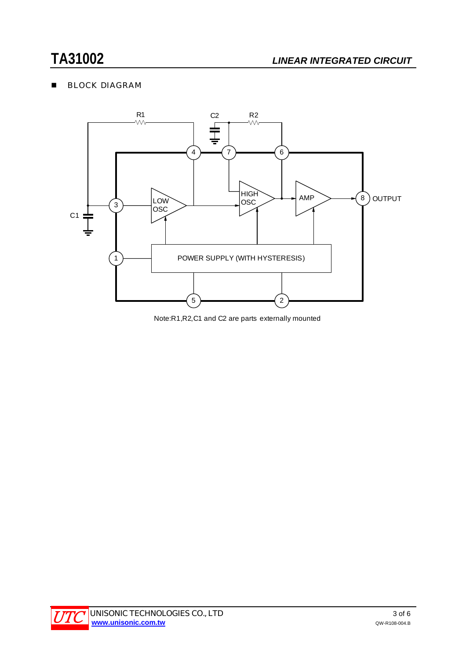# **BLOCK DIAGRAM**



Note:R1,R2,C1 and C2 are parts externally mounted

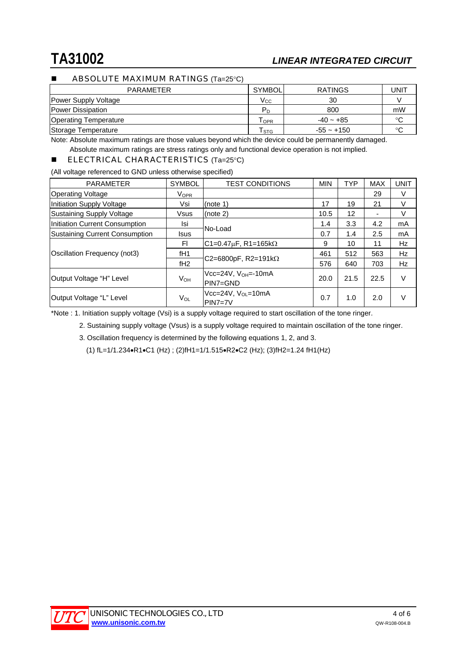### ABSOLUTE MAXIMUM RATINGS (Ta=25°C)

| <b>PARAMETER</b>             | <b>SYMBOL</b>    | <b>RATINGS</b> | UNIT    |
|------------------------------|------------------|----------------|---------|
| Power Supply Voltage         | $\rm V_{CC}$     | 30             |         |
| <b>Power Dissipation</b>     | $P_D$            | 800            | mW      |
| <b>Operating Temperature</b> | l <sub>OPR</sub> | $-40 - +85$    | ൦൳      |
| Storage Temperature          | l stg            | $-55 - +150$   | $\circ$ |

Note: Absolute maximum ratings are those values beyond which the device could be permanently damaged.

Absolute maximum ratings are stress ratings only and functional device operation is not implied.

### **ELECTRICAL CHARACTERISTICS** (Ta=25°C)

(All voltage referenced to GND unless otherwise specified)

| <b>PARAMETER</b>                      | <b>SYMBOL</b>   | <b>TEST CONDITIONS</b>                | <b>MIN</b> | <b>TYP</b>        | <b>MAX</b> | <b>UNIT</b> |
|---------------------------------------|-----------------|---------------------------------------|------------|-------------------|------------|-------------|
| <b>Operating Voltage</b>              | <b>VOPR</b>     |                                       |            |                   | 29         | V           |
| Initiation Supply Voltage             | Vsi             | (note 1)                              | 17         | 19                | 21         | V           |
| Sustaining Supply Voltage             | Vsus            | (note $2$ )                           | 10.5       | $12 \overline{ }$ |            | V           |
| Initiation Current Consumption        | Isi             | No-Load                               | 1.4        | 3.3               | 4.2        | mA          |
| <b>Sustaining Current Consumption</b> | <b>Isus</b>     |                                       | 0.7        | 1.4               | 2.5        | mA          |
| Oscillation Frequency (not3)          | FI              | $ $ C1=0.47 $\mu$ F, R1=165k $\Omega$ | 9          | 10                | 11         | Hz          |
|                                       | fH <sub>1</sub> |                                       | 461        | 512               | 563        | Hz          |
|                                       | fH2             | $C2 = 6800pF$ , R2=191k $\Omega$      | 576        | 640               | 703        | <b>Hz</b>   |
| Output Voltage "H" Level              | $V_{OH}$        | $Vcc=24V, VOH=-10mA$<br>IPIN7=GND     | 20.0       | 21.5              | 22.5       | $\vee$      |
| Output Voltage "L" Level              | $V_{OL}$        | $Vcc=24V, VOI=10mA$<br>$PIN7=7V$      | 0.7        | 1.0               | 2.0        | $\vee$      |

\*Note : 1. Initiation supply voltage (Vsi) is a supply voltage required to start oscillation of the tone ringer.

2. Sustaining supply voltage (Vsus) is a supply voltage required to maintain oscillation of the tone ringer.

3. Oscillation frequency is determined by the following equations 1, 2, and 3.

(1) fL=1/1.234•R1•C1 (Hz) ; (2)fH1=1/1.515•R2•C2 (Hz); (3)fH2=1.24 fH1(Hz)

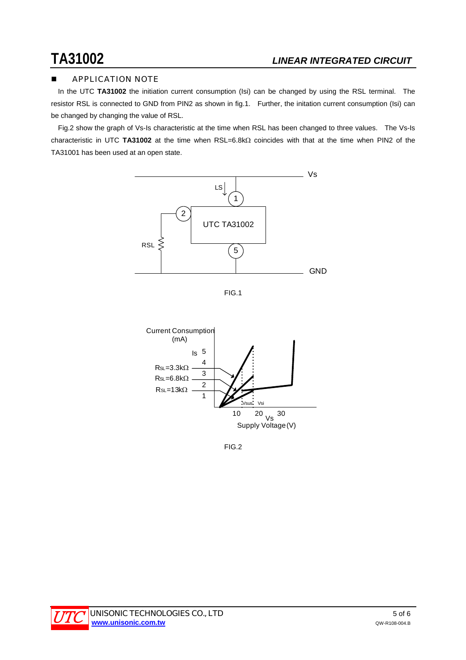## APPLICATION NOTE

In the UTC TA31002 the initiation current consumption (Isi) can be changed by using the RSL terminal. The resistor RSL is connected to GND from PIN2 as shown in fig.1. Further, the initation current consumption (Isi) can be changed by changing the value of RSL.

 Fig.2 show the graph of Vs-Is characteristic at the time when RSL has been changed to three values. The Vs-Is characteristic in UTC **TA31002** at the time when RSL=6.8kΩ coincides with that at the time when PIN2 of the TA31001 has been used at an open state.







FIG.2